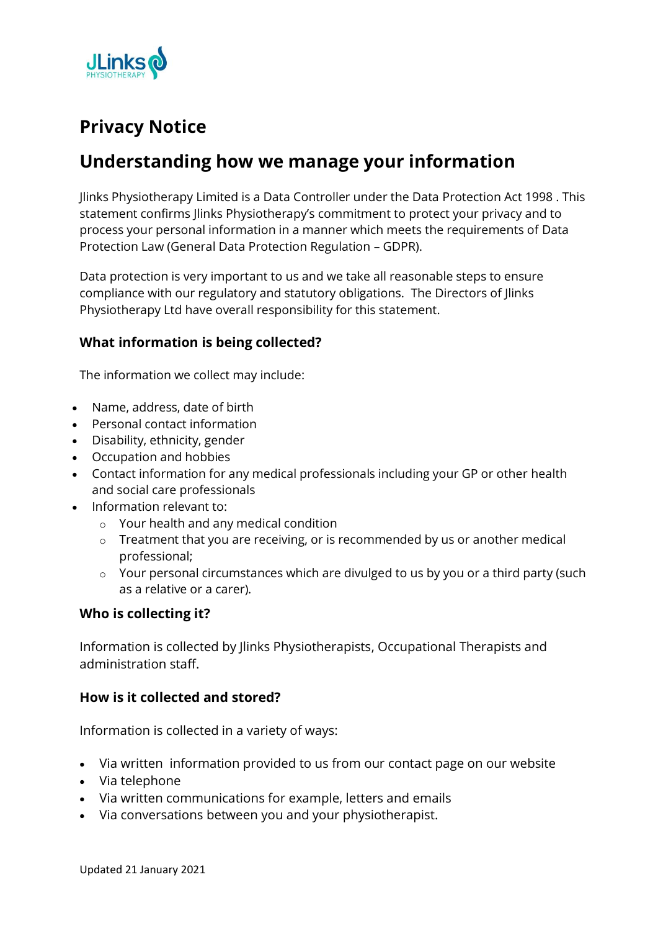

# **Privacy Notice**

## **Understanding how we manage your information**

Jlinks Physiotherapy Limited is a Data Controller under the Data Protection Act 1998 . This statement confirms Jlinks Physiotherapy's commitment to protect your privacy and to process your personal information in a manner which meets the requirements of Data Protection Law (General Data Protection Regulation – GDPR).

Data protection is very important to us and we take all reasonable steps to ensure compliance with our regulatory and statutory obligations. The Directors of Jlinks Physiotherapy Ltd have overall responsibility for this statement.

## **What information is being collected?**

The information we collect may include:

- Name, address, date of birth
- Personal contact information
- Disability, ethnicity, gender
- Occupation and hobbies
- Contact information for any medical professionals including your GP or other health and social care professionals
- Information relevant to:
	- o Your health and any medical condition
	- o Treatment that you are receiving, or is recommended by us or another medical professional;
	- o Your personal circumstances which are divulged to us by you or a third party (such as a relative or a carer).

#### **Who is collecting it?**

Information is collected by Jlinks Physiotherapists, Occupational Therapists and administration staff.

#### **How is it collected and stored?**

Information is collected in a variety of ways:

- Via written information provided to us from our contact page on our website
- Via telephone
- Via written communications for example, letters and emails
- Via conversations between you and your physiotherapist.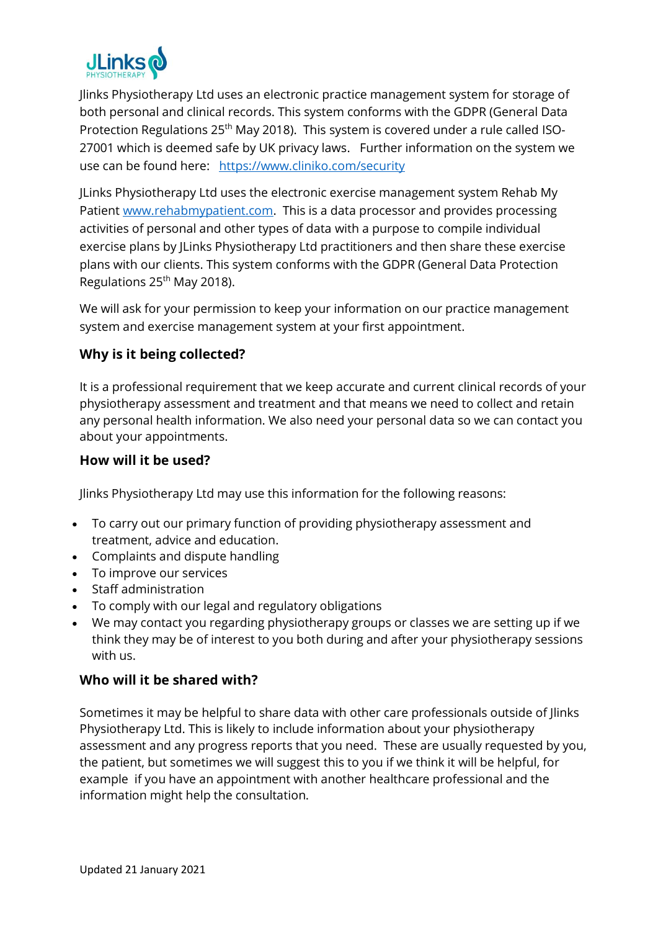

Jlinks Physiotherapy Ltd uses an electronic practice management system for storage of both personal and clinical records. This system conforms with the GDPR (General Data Protection Regulations 25<sup>th</sup> May 2018). This system is covered under a rule called ISO-27001 which is deemed safe by UK privacy laws. Further information on the system we use can be found here: <https://www.cliniko.com/security>

JLinks Physiotherapy Ltd uses the electronic exercise management system Rehab My Patient [www.rehabmypatient.com.](http://www.rehabmypatient.com/) This is a data processor and provides processing activities of personal and other types of data with a purpose to compile individual exercise plans by JLinks Physiotherapy Ltd practitioners and then share these exercise plans with our clients. This system conforms with the GDPR (General Data Protection Regulations 25<sup>th</sup> May 2018).

We will ask for your permission to keep your information on our practice management system and exercise management system at your first appointment.

## **Why is it being collected?**

It is a professional requirement that we keep accurate and current clinical records of your physiotherapy assessment and treatment and that means we need to collect and retain any personal health information. We also need your personal data so we can contact you about your appointments.

#### **How will it be used?**

Jlinks Physiotherapy Ltd may use this information for the following reasons:

- To carry out our primary function of providing physiotherapy assessment and treatment, advice and education.
- Complaints and dispute handling
- To improve our services
- Staff administration
- To comply with our legal and regulatory obligations
- We may contact you regarding physiotherapy groups or classes we are setting up if we think they may be of interest to you both during and after your physiotherapy sessions with us.

## **Who will it be shared with?**

Sometimes it may be helpful to share data with other care professionals outside of Jlinks Physiotherapy Ltd. This is likely to include information about your physiotherapy assessment and any progress reports that you need. These are usually requested by you, the patient, but sometimes we will suggest this to you if we think it will be helpful, for example if you have an appointment with another healthcare professional and the information might help the consultation.